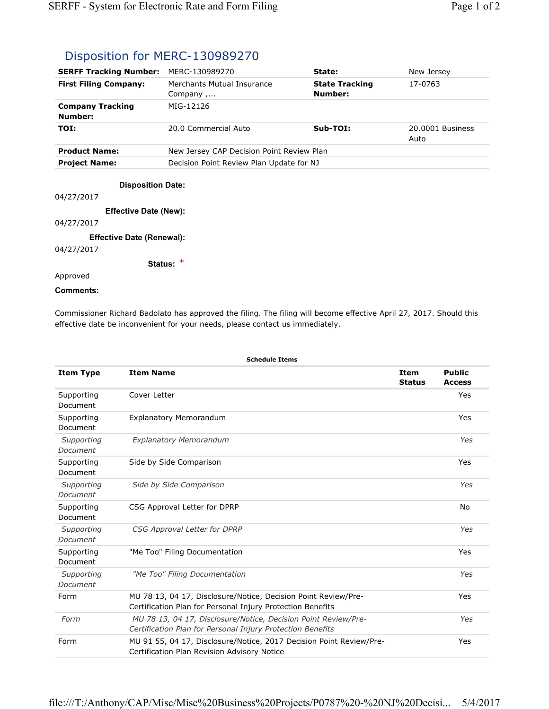## Disposition for MERC-130989270

| <b>SERFF Tracking Number:</b>      | MERC-130989270                            | State:                           | New Jersey               |  |
|------------------------------------|-------------------------------------------|----------------------------------|--------------------------|--|
| <b>First Filing Company:</b>       | Merchants Mutual Insurance<br>Company,    | <b>State Tracking</b><br>Number: | 17-0763                  |  |
| <b>Company Tracking</b><br>Number: | MIG-12126                                 |                                  |                          |  |
| TOI:                               | 20.0 Commercial Auto                      | $Sub-TOI:$                       | 20.0001 Business<br>Auto |  |
| <b>Product Name:</b>               | New Jersey CAP Decision Point Review Plan |                                  |                          |  |
| <b>Project Name:</b>               | Decision Point Review Plan Update for NJ  |                                  |                          |  |
| <b>Disposition Date:</b>           |                                           |                                  |                          |  |

04/27/2017

**Effective Date (New):**

## 04/27/2017

**Effective Date (Renewal):**

04/27/2017

**Status:** 

## Approved

## **Comments:**

Commissioner Richard Badolato has approved the filing. The filing will become effective April 27, 2017. Should this effective date be inconvenient for your needs, please contact us immediately.

| <b>Schedule Items</b>  |                                                                                                                              |                              |                                |  |  |
|------------------------|------------------------------------------------------------------------------------------------------------------------------|------------------------------|--------------------------------|--|--|
| <b>Item Type</b>       | <b>Item Name</b>                                                                                                             | <b>Item</b><br><b>Status</b> | <b>Public</b><br><b>Access</b> |  |  |
| Supporting<br>Document | Cover Letter                                                                                                                 |                              | Yes                            |  |  |
| Supporting<br>Document | <b>Explanatory Memorandum</b>                                                                                                |                              | Yes                            |  |  |
| Supporting<br>Document | <b>Explanatory Memorandum</b>                                                                                                |                              | Yes                            |  |  |
| Supporting<br>Document | Side by Side Comparison                                                                                                      |                              | Yes                            |  |  |
| Supporting<br>Document | Side by Side Comparison                                                                                                      |                              | Yes                            |  |  |
| Supporting<br>Document | CSG Approval Letter for DPRP                                                                                                 |                              | No                             |  |  |
| Supporting<br>Document | CSG Approval Letter for DPRP                                                                                                 |                              | Yes                            |  |  |
| Supporting<br>Document | "Me Too" Filing Documentation                                                                                                |                              | Yes                            |  |  |
| Supporting<br>Document | "Me Too" Filing Documentation                                                                                                |                              | Yes                            |  |  |
| Form                   | MU 78 13, 04 17, Disclosure/Notice, Decision Point Review/Pre-<br>Certification Plan for Personal Injury Protection Benefits |                              | Yes                            |  |  |
| Form                   | MU 78 13, 04 17, Disclosure/Notice, Decision Point Review/Pre-<br>Certification Plan for Personal Injury Protection Benefits |                              | Yes                            |  |  |
| Form                   | MU 91 55, 04 17, Disclosure/Notice, 2017 Decision Point Review/Pre-<br>Certification Plan Revision Advisory Notice           |                              | Yes                            |  |  |